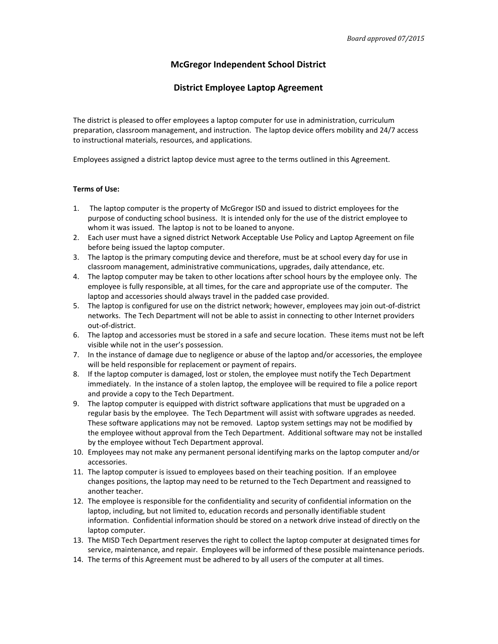## **McGregor Independent School District**

## **District Employee Laptop Agreement**

The district is pleased to offer employees a laptop computer for use in administration, curriculum preparation, classroom management, and instruction. The laptop device offers mobility and 24/7 access to instructional materials, resources, and applications.

Employees assigned a district laptop device must agree to the terms outlined in this Agreement.

## **Terms of Use:**

- 1. The laptop computer is the property of McGregor ISD and issued to district employees for the purpose of conducting school business. It is intended only for the use of the district employee to whom it was issued. The laptop is not to be loaned to anyone.
- 2. Each user must have a signed district Network Acceptable Use Policy and Laptop Agreement on file before being issued the laptop computer.
- 3. The laptop is the primary computing device and therefore, must be at school every day for use in classroom management, administrative communications, upgrades, daily attendance, etc.
- 4. The laptop computer may be taken to other locations after school hours by the employee only. The employee is fully responsible, at all times, for the care and appropriate use of the computer. The laptop and accessories should always travel in the padded case provided.
- 5. The laptop is configured for use on the district network; however, employees may join out-of-district networks. The Tech Department will not be able to assist in connecting to other Internet providers out-of-district.
- 6. The laptop and accessories must be stored in a safe and secure location. These items must not be left visible while not in the user's possession.
- 7. In the instance of damage due to negligence or abuse of the laptop and/or accessories, the employee will be held responsible for replacement or payment of repairs.
- 8. If the laptop computer is damaged, lost or stolen, the employee must notify the Tech Department immediately. In the instance of a stolen laptop, the employee will be required to file a police report and provide a copy to the Tech Department.
- 9. The laptop computer is equipped with district software applications that must be upgraded on a regular basis by the employee. The Tech Department will assist with software upgrades as needed. These software applications may not be removed. Laptop system settings may not be modified by the employee without approval from the Tech Department. Additional software may not be installed by the employee without Tech Department approval.
- 10. Employees may not make any permanent personal identifying marks on the laptop computer and/or accessories.
- 11. The laptop computer is issued to employees based on their teaching position. If an employee changes positions, the laptop may need to be returned to the Tech Department and reassigned to another teacher.
- 12. The employee is responsible for the confidentiality and security of confidential information on the laptop, including, but not limited to, education records and personally identifiable student information. Confidential information should be stored on a network drive instead of directly on the laptop computer.
- 13. The MISD Tech Department reserves the right to collect the laptop computer at designated times for service, maintenance, and repair. Employees will be informed of these possible maintenance periods.
- 14. The terms of this Agreement must be adhered to by all users of the computer at all times.